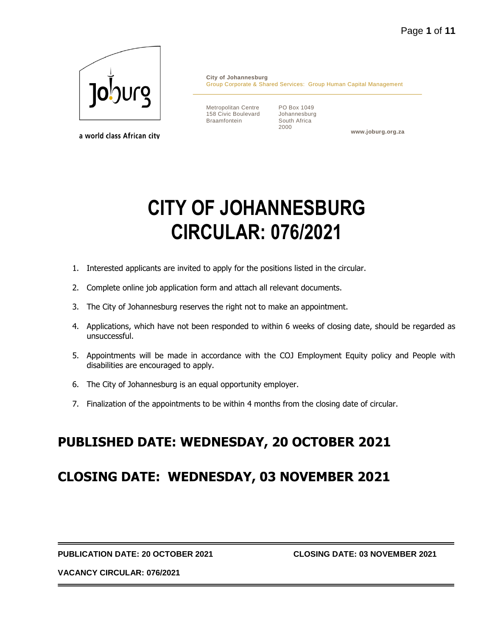

a world class African city

**City of Johannesburg** Group Corporate & Shared Services: Group Human Capital Management

Metropolitan Centre 158 Civic Boulevard Braamfontein

PO Box 1049 Johannesburg South Africa 2000

**www.joburg.org.za**

# **CITY OF JOHANNESBURG CIRCULAR: 076/2021**

- 1. Interested applicants are invited to apply for the positions listed in the circular.
- 2. Complete online job application form and attach all relevant documents.
- 3. The City of Johannesburg reserves the right not to make an appointment.
- 4. Applications, which have not been responded to within 6 weeks of closing date, should be regarded as unsuccessful.
- 5. Appointments will be made in accordance with the COJ Employment Equity policy and People with disabilities are encouraged to apply.
- 6. The City of Johannesburg is an equal opportunity employer.
- 7. Finalization of the appointments to be within 4 months from the closing date of circular.

# **PUBLISHED DATE: WEDNESDAY, 20 OCTOBER 2021**

# **CLOSING DATE: WEDNESDAY, 03 NOVEMBER 2021**

**PUBLICATION DATE: 20 OCTOBER 2021 CLOSING DATE: 03 NOVEMBER 2021**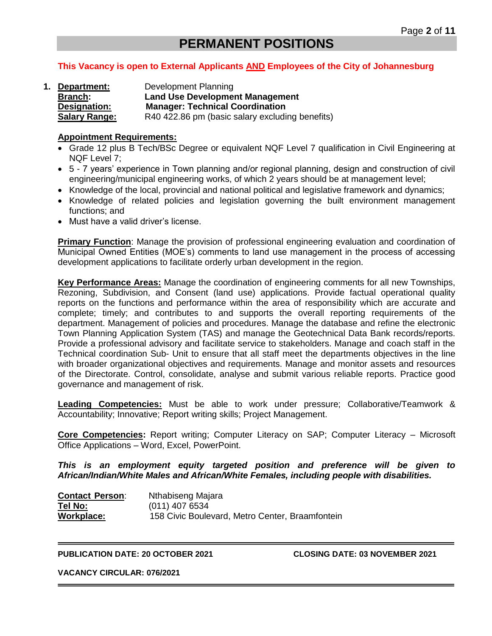# **PERMANENT POSITIONS**

#### **This Vacancy is open to External Applicants AND Employees of the City of Johannesburg**

**1. Department:** Development Planning **Branch: Land Use Development Management Designation: Manager: Technical Coordination Salary Range:** R40 422.86 pm (basic salary excluding benefits)

#### **Appointment Requirements:**

- Grade 12 plus B Tech/BSc Degree or equivalent NQF Level 7 qualification in Civil Engineering at NQF Level 7;
- 5 7 years' experience in Town planning and/or regional planning, design and construction of civil engineering/municipal engineering works, of which 2 years should be at management level;
- Knowledge of the local, provincial and national political and legislative framework and dynamics;
- Knowledge of related policies and legislation governing the built environment management functions; and
- Must have a valid driver's license.

**Primary Function**: Manage the provision of professional engineering evaluation and coordination of Municipal Owned Entities (MOE's) comments to land use management in the process of accessing development applications to facilitate orderly urban development in the region.

**Key Performance Areas:** Manage the coordination of engineering comments for all new Townships, Rezoning, Subdivision, and Consent (land use) applications. Provide factual operational quality reports on the functions and performance within the area of responsibility which are accurate and complete; timely; and contributes to and supports the overall reporting requirements of the department. Management of policies and procedures. Manage the database and refine the electronic Town Planning Application System (TAS) and manage the Geotechnical Data Bank records/reports. Provide a professional advisory and facilitate service to stakeholders. Manage and coach staff in the Technical coordination Sub- Unit to ensure that all staff meet the departments objectives in the line with broader organizational objectives and requirements. Manage and monitor assets and resources of the Directorate. Control, consolidate, analyse and submit various reliable reports. Practice good governance and management of risk.

**Leading Competencies:** Must be able to work under pressure; Collaborative/Teamwork & Accountability; Innovative; Report writing skills; Project Management.

**Core Competencies:** Report writing; Computer Literacy on SAP; Computer Literacy – Microsoft Office Applications – Word, Excel, PowerPoint.

*This is an employment equity targeted position and preference will be given to African/Indian/White Males and African/White Females, including people with disabilities.*

| <b>Contact Person:</b> | Nthabiseng Majara                               |
|------------------------|-------------------------------------------------|
| Tel No:                | (011) 407 6534                                  |
| Workplace:             | 158 Civic Boulevard, Metro Center, Braamfontein |

**PUBLICATION DATE: 20 OCTOBER 2021 CLOSING DATE: 03 NOVEMBER 2021**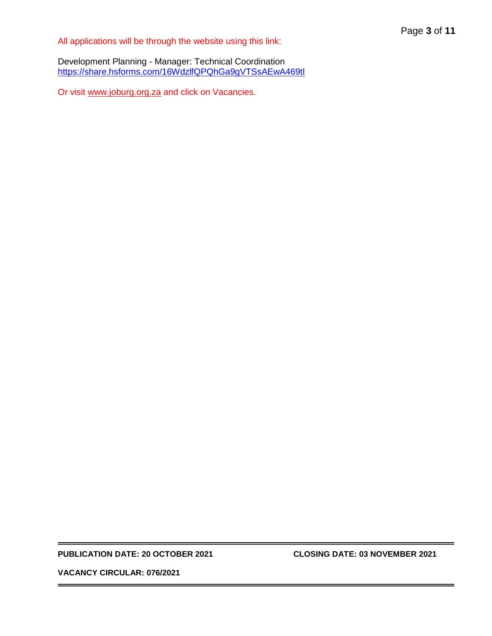All applications will be through the website using this link:

Development Planning - Manager: Technical Coordination <https://share.hsforms.com/16WdzlfQPQhGa9gVTSsAEwA469tl>

Or visit [www.joburg.org.za](http://www.joburg.org.za/) and click on Vacancies.

#### **PUBLICATION DATE: 20 OCTOBER 2021 CLOSING DATE: 03 NOVEMBER 2021**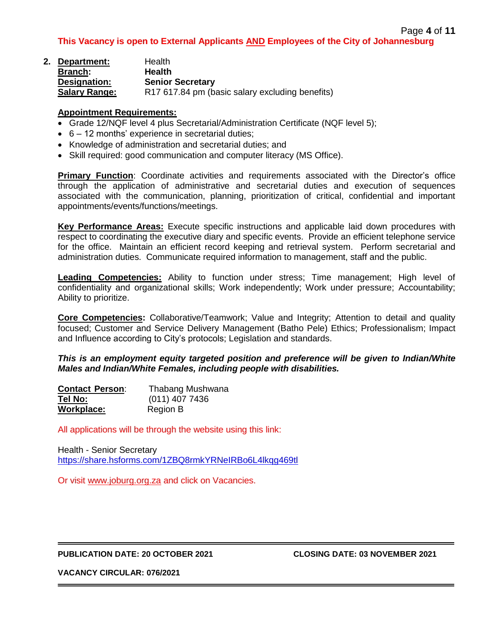| 2. Department:       | Health                                          |
|----------------------|-------------------------------------------------|
| Branch:              | <b>Health</b>                                   |
| Designation:         | <b>Senior Secretary</b>                         |
| <b>Salary Range:</b> | R17 617.84 pm (basic salary excluding benefits) |

- Grade 12/NQF level 4 plus Secretarial/Administration Certificate (NQF level 5);
- 6 12 months' experience in secretarial duties;
- Knowledge of administration and secretarial duties; and
- Skill required: good communication and computer literacy (MS Office).

**Primary Function**: Coordinate activities and requirements associated with the Director's office through the application of administrative and secretarial duties and execution of sequences associated with the communication, planning, prioritization of critical, confidential and important appointments/events/functions/meetings.

**Key Performance Areas:** Execute specific instructions and applicable laid down procedures with respect to coordinating the executive diary and specific events. Provide an efficient telephone service for the office. Maintain an efficient record keeping and retrieval system. Perform secretarial and administration duties. Communicate required information to management, staff and the public.

**Leading Competencies:** Ability to function under stress; Time management; High level of confidentiality and organizational skills; Work independently; Work under pressure; Accountability; Ability to prioritize.

**Core Competencies:** Collaborative/Teamwork; Value and Integrity; Attention to detail and quality focused; Customer and Service Delivery Management (Batho Pele) Ethics; Professionalism; Impact and Influence according to City's protocols; Legislation and standards.

#### *This is an employment equity targeted position and preference will be given to Indian/White Males and Indian/White Females, including people with disabilities.*

| <b>Contact Person:</b> | Thabang Mushwana |
|------------------------|------------------|
| Tel No:                | $(011)$ 407 7436 |
| Workplace:             | Region B         |

All applications will be through the website using this link:

Health - Senior Secretary <https://share.hsforms.com/1ZBQ8rmkYRNeIRBo6L4lkqg469tl>

Or visit [www.joburg.org.za](http://www.joburg.org.za/) and click on Vacancies.

#### **PUBLICATION DATE: 20 OCTOBER 2021 CLOSING DATE: 03 NOVEMBER 2021**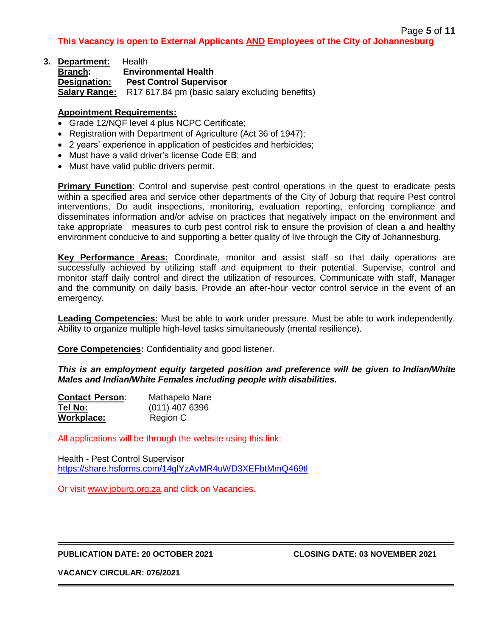| 3. Department:       | Health                                          |  |  |
|----------------------|-------------------------------------------------|--|--|
| <b>Branch:</b>       | <b>Environmental Health</b>                     |  |  |
| <b>Designation:</b>  | <b>Pest Control Supervisor</b>                  |  |  |
| <b>Salary Range:</b> | R17 617.84 pm (basic salary excluding benefits) |  |  |

- Grade 12/NQF level 4 plus NCPC Certificate;
- Registration with Department of Agriculture (Act 36 of 1947);
- 2 years' experience in application of pesticides and herbicides;
- Must have a valid driver's license Code EB; and
- Must have valid public drivers permit.

**Primary Function**: Control and supervise pest control operations in the quest to eradicate pests within a specified area and service other departments of the City of Joburg that require Pest control interventions, Do audit inspections, monitoring, evaluation reporting, enforcing compliance and disseminates information and/or advise on practices that negatively impact on the environment and take appropriate measures to curb pest control risk to ensure the provision of clean a and healthy environment conducive to and supporting a better quality of live through the City of Johannesburg.

**Key Performance Areas:** Coordinate, monitor and assist staff so that daily operations are successfully achieved by utilizing staff and equipment to their potential. Supervise, control and monitor staff daily control and direct the utilization of resources. Communicate with staff, Manager and the community on daily basis. Provide an after-hour vector control service in the event of an emergency.

**Leading Competencies:** Must be able to work under pressure. Must be able to work independently. Ability to organize multiple high-level tasks simultaneously (mental resilience).

**Core Competencies:** Confidentiality and good listener.

*This is an employment equity targeted position and preference will be given to Indian/White Males and Indian/White Females including people with disabilities.*

| <b>Contact Person:</b> | Mathapelo Nare   |
|------------------------|------------------|
| Tel No:                | $(011)$ 407 6396 |
| Workplace:             | Region C         |

All applications will be through the website using this link:

Health - Pest Control Supervisor <https://share.hsforms.com/14glYzAvMR4uWD3XEFbtMmQ469tl>

Or visit [www.joburg.org.za](http://www.joburg.org.za/) and click on Vacancies.

#### **PUBLICATION DATE: 20 OCTOBER 2021 CLOSING DATE: 03 NOVEMBER 2021**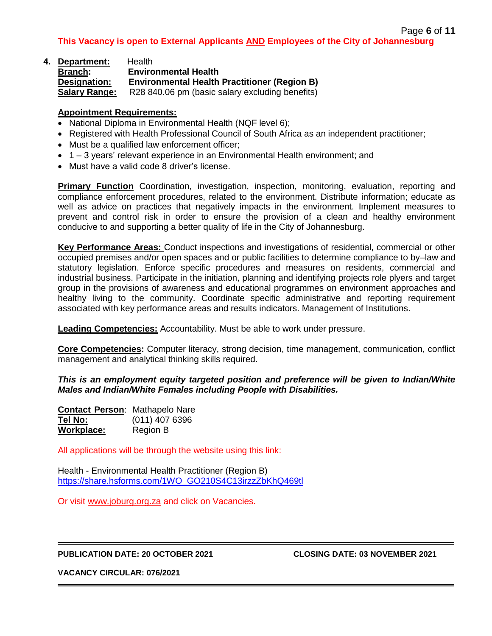| 4. Department:       | <b>Health</b>                                       |
|----------------------|-----------------------------------------------------|
| <b>Branch:</b>       | <b>Environmental Health</b>                         |
| Designation:         | <b>Environmental Health Practitioner (Region B)</b> |
| <b>Salary Range:</b> | R28 840.06 pm (basic salary excluding benefits)     |

- National Diploma in Environmental Health (NQF level 6);
- Registered with Health Professional Council of South Africa as an independent practitioner;
- Must be a qualified law enforcement officer;
- 1 3 years' relevant experience in an Environmental Health environment; and
- Must have a valid code 8 driver's license.

**Primary Function** Coordination, investigation, inspection, monitoring, evaluation, reporting and compliance enforcement procedures, related to the environment. Distribute information; educate as well as advice on practices that negatively impacts in the environment. Implement measures to prevent and control risk in order to ensure the provision of a clean and healthy environment conducive to and supporting a better quality of life in the City of Johannesburg.

**Key Performance Areas:** Conduct inspections and investigations of residential, commercial or other occupied premises and/or open spaces and or public facilities to determine compliance to by–law and statutory legislation. Enforce specific procedures and measures on residents, commercial and industrial business. Participate in the initiation, planning and identifying projects role plyers and target group in the provisions of awareness and educational programmes on environment approaches and healthy living to the community. Coordinate specific administrative and reporting requirement associated with key performance areas and results indicators. Management of Institutions.

**Leading Competencies:** Accountability. Must be able to work under pressure.

**Core Competencies:** Computer literacy, strong decision, time management, communication, conflict management and analytical thinking skills required.

## *This is an employment equity targeted position and preference will be given to Indian/White Males and Indian/White Females including People with Disabilities.*

| <b>Contact Person: Mathapelo Nare</b> |                  |
|---------------------------------------|------------------|
| Tel No:                               | $(011)$ 407 6396 |
| Workplace:                            | Region B         |

All applications will be through the website using this link:

Health - Environmental Health Practitioner (Region B) [https://share.hsforms.com/1WO\\_GO210S4C13irzzZbKhQ469tl](https://share.hsforms.com/1WO_GO210S4C13irzzZbKhQ469tl)

Or visit [www.joburg.org.za](http://www.joburg.org.za/) and click on Vacancies.

## **PUBLICATION DATE: 20 OCTOBER 2021 CLOSING DATE: 03 NOVEMBER 2021**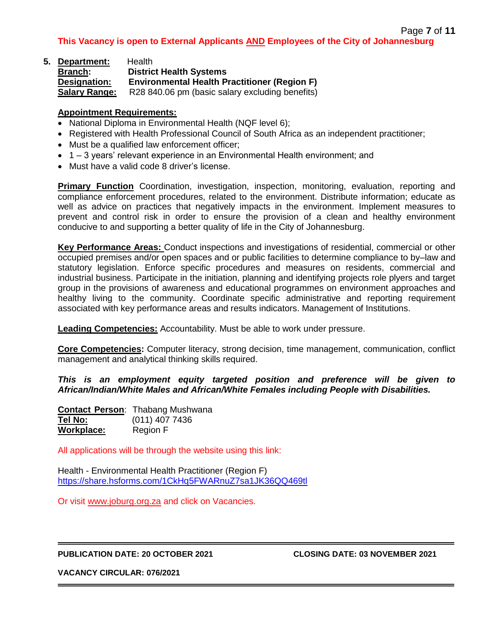| 5. Department:       | Health                                              |  |  |
|----------------------|-----------------------------------------------------|--|--|
| <b>Branch:</b>       | <b>District Health Systems</b>                      |  |  |
| Designation:         | <b>Environmental Health Practitioner (Region F)</b> |  |  |
| <b>Salary Range:</b> | R28 840.06 pm (basic salary excluding benefits)     |  |  |

- National Diploma in Environmental Health (NQF level 6);
- Registered with Health Professional Council of South Africa as an independent practitioner:
- Must be a qualified law enforcement officer;
- 1 3 years' relevant experience in an Environmental Health environment; and
- Must have a valid code 8 driver's license.

**Primary Function** Coordination, investigation, inspection, monitoring, evaluation, reporting and compliance enforcement procedures, related to the environment. Distribute information; educate as well as advice on practices that negatively impacts in the environment. Implement measures to prevent and control risk in order to ensure the provision of a clean and healthy environment conducive to and supporting a better quality of life in the City of Johannesburg.

**Key Performance Areas:** Conduct inspections and investigations of residential, commercial or other occupied premises and/or open spaces and or public facilities to determine compliance to by–law and statutory legislation. Enforce specific procedures and measures on residents, commercial and industrial business. Participate in the initiation, planning and identifying projects role plyers and target group in the provisions of awareness and educational programmes on environment approaches and healthy living to the community. Coordinate specific administrative and reporting requirement associated with key performance areas and results indicators. Management of Institutions.

**Leading Competencies:** Accountability. Must be able to work under pressure.

**Core Competencies:** Computer literacy, strong decision, time management, communication, conflict management and analytical thinking skills required.

*This is an employment equity targeted position and preference will be given to African/Indian/White Males and African/White Females including People with Disabilities.*

|            | <b>Contact Person: Thabang Mushwana</b> |
|------------|-----------------------------------------|
| Tel No:    | $(011)$ 407 7436                        |
| Workplace: | Region F                                |

All applications will be through the website using this link:

Health - Environmental Health Practitioner (Region F) <https://share.hsforms.com/1CkHq5FWARnuZ7sa1JK36QQ469tl>

Or visit [www.joburg.org.za](http://www.joburg.org.za/) and click on Vacancies.

## **PUBLICATION DATE: 20 OCTOBER 2021 CLOSING DATE: 03 NOVEMBER 2021**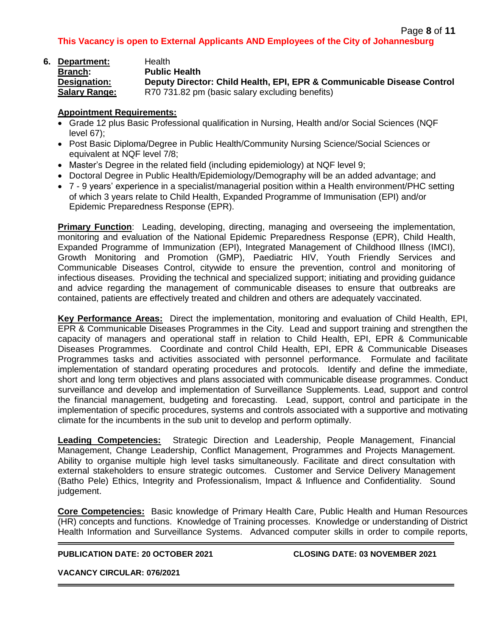| Page 8 of 11 |  |  |  |
|--------------|--|--|--|
|--------------|--|--|--|

**6. Department:** Health **Branch: Public Health Designation: Deputy Director: Child Health, EPI, EPR & Communicable Disease Control Salary Range:** R70 731.82 pm (basic salary excluding benefits)

# **Appointment Requirements:**

- Grade 12 plus Basic Professional qualification in Nursing, Health and/or Social Sciences (NQF level 67);
- Post Basic Diploma/Degree in Public Health/Community Nursing Science/Social Sciences or equivalent at NQF level 7/8;
- Master's Degree in the related field (including epidemiology) at NQF level 9;
- Doctoral Degree in Public Health/Epidemiology/Demography will be an added advantage; and
- 7 9 years' experience in a specialist/managerial position within a Health environment/PHC setting of which 3 years relate to Child Health, Expanded Programme of Immunisation (EPI) and/or Epidemic Preparedness Response (EPR).

**Primary Function**: Leading, developing, directing, managing and overseeing the implementation, monitoring and evaluation of the National Epidemic Preparedness Response (EPR), Child Health, Expanded Programme of Immunization (EPI), Integrated Management of Childhood Illness (IMCI), Growth Monitoring and Promotion (GMP), Paediatric HIV, Youth Friendly Services and Communicable Diseases Control, citywide to ensure the prevention, control and monitoring of infectious diseases. Providing the technical and specialized support; initiating and providing guidance and advice regarding the management of communicable diseases to ensure that outbreaks are contained, patients are effectively treated and children and others are adequately vaccinated.

**Key Performance Areas:** Direct the implementation, monitoring and evaluation of Child Health, EPI, EPR & Communicable Diseases Programmes in the City. Lead and support training and strengthen the capacity of managers and operational staff in relation to Child Health, EPI, EPR & Communicable Diseases Programmes. Coordinate and control Child Health, EPI, EPR & Communicable Diseases Programmes tasks and activities associated with personnel performance. Formulate and facilitate implementation of standard operating procedures and protocols. Identify and define the immediate, short and long term objectives and plans associated with communicable disease programmes. Conduct surveillance and develop and implementation of Surveillance Supplements. Lead, support and control the financial management, budgeting and forecasting. Lead, support, control and participate in the implementation of specific procedures, systems and controls associated with a supportive and motivating climate for the incumbents in the sub unit to develop and perform optimally.

**Leading Competencies:** Strategic Direction and Leadership, People Management, Financial Management, Change Leadership, Conflict Management, Programmes and Projects Management. Ability to organise multiple high level tasks simultaneously. Facilitate and direct consultation with external stakeholders to ensure strategic outcomes. Customer and Service Delivery Management (Batho Pele) Ethics, Integrity and Professionalism, Impact & Influence and Confidentiality. Sound judgement.

**Core Competencies:** Basic knowledge of Primary Health Care, Public Health and Human Resources (HR) concepts and functions. Knowledge of Training processes. Knowledge or understanding of District Health Information and Surveillance Systems. Advanced computer skills in order to compile reports,

# **PUBLICATION DATE: 20 OCTOBER 2021 CLOSING DATE: 03 NOVEMBER 2021**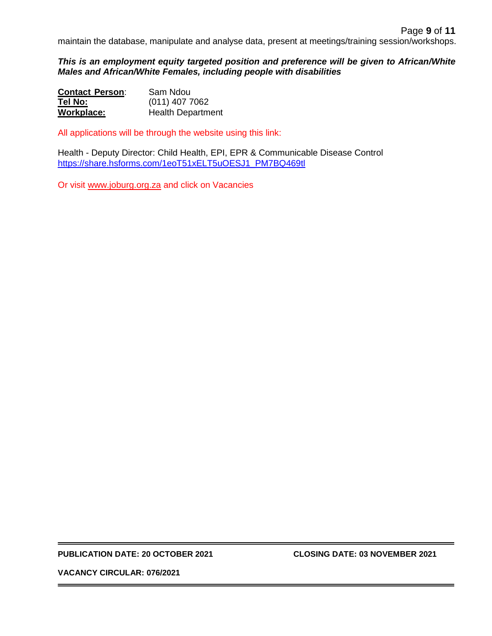maintain the database, manipulate and analyse data, present at meetings/training session/workshops.

*This is an employment equity targeted position and preference will be given to African/White Males and African/White Females, including people with disabilities*

| <b>Contact Person:</b> | Sam Ndou                 |
|------------------------|--------------------------|
| Tel No:                | $(011)$ 407 7062         |
| Workplace:             | <b>Health Department</b> |

All applications will be through the website using this link:

Health - Deputy Director: Child Health, EPI, EPR & Communicable Disease Control [https://share.hsforms.com/1eoT51xELT5uOESJ1\\_PM7BQ469tl](https://share.hsforms.com/1eoT51xELT5uOESJ1_PM7BQ469tl)

Or visit [www.joburg.org.za](http://www.joburg.org.za/) and click on Vacancies

**PUBLICATION DATE: 20 OCTOBER 2021 CLOSING DATE: 03 NOVEMBER 2021**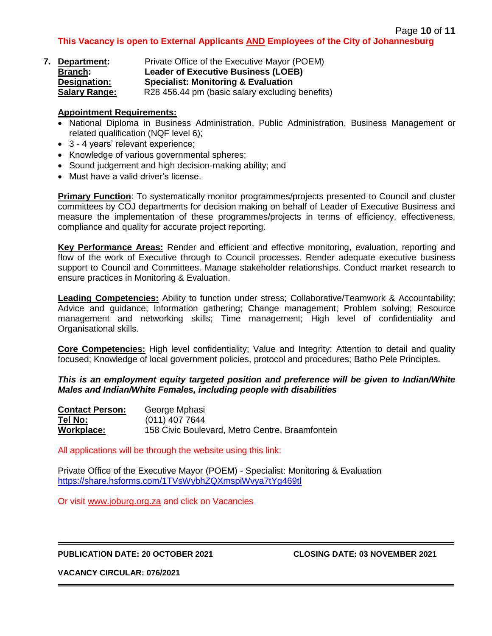| 7. Department:       | Private Office of the Executive Mayor (POEM)    |  |
|----------------------|-------------------------------------------------|--|
| <b>Branch:</b>       | <b>Leader of Executive Business (LOEB)</b>      |  |
| Designation:         | <b>Specialist: Monitoring &amp; Evaluation</b>  |  |
| <b>Salary Range:</b> | R28 456.44 pm (basic salary excluding benefits) |  |

- National Diploma in Business Administration, Public Administration, Business Management or related qualification (NQF level 6);
- 3 4 years' relevant experience;
- Knowledge of various governmental spheres;
- Sound judgement and high decision-making ability; and
- Must have a valid driver's license.

**Primary Function**: To systematically monitor programmes/projects presented to Council and cluster committees by COJ departments for decision making on behalf of Leader of Executive Business and measure the implementation of these programmes/projects in terms of efficiency, effectiveness, compliance and quality for accurate project reporting.

**Key Performance Areas:** Render and efficient and effective monitoring, evaluation, reporting and flow of the work of Executive through to Council processes. Render adequate executive business support to Council and Committees. Manage stakeholder relationships. Conduct market research to ensure practices in Monitoring & Evaluation.

**Leading Competencies:** Ability to function under stress; Collaborative/Teamwork & Accountability; Advice and guidance; Information gathering; Change management; Problem solving; Resource management and networking skills; Time management; High level of confidentiality and Organisational skills.

**Core Competencies:** High level confidentiality; Value and Integrity; Attention to detail and quality focused; Knowledge of local government policies, protocol and procedures; Batho Pele Principles.

## *This is an employment equity targeted position and preference will be given to Indian/White Males and Indian/White Females, including people with disabilities*

| <b>Contact Person:</b> | George Mphasi                                   |
|------------------------|-------------------------------------------------|
| Tel No:                | $(011)$ 407 7644                                |
| Workplace:             | 158 Civic Boulevard, Metro Centre, Braamfontein |

All applications will be through the website using this link:

Private Office of the Executive Mayor (POEM) - Specialist: Monitoring & Evaluation <https://share.hsforms.com/1TVsWybhZQXmspiWvya7tYg469tl>

Or visit [www.joburg.org.za](http://www.joburg.org.za/) and click on Vacancies

## **PUBLICATION DATE: 20 OCTOBER 2021 CLOSING DATE: 03 NOVEMBER 2021**